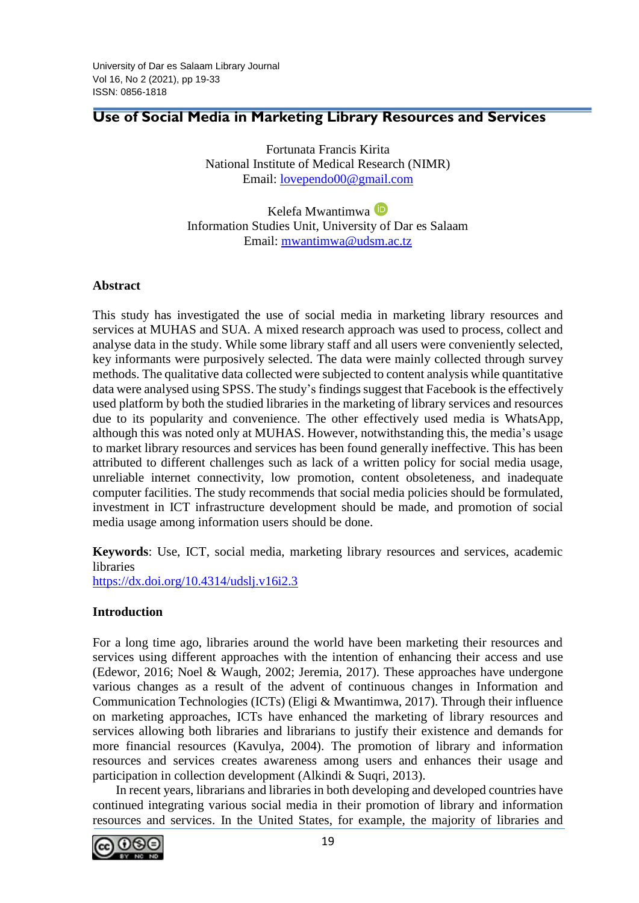# **Use of Social Media in Marketing Library Resources and Services**

Fortunata Francis Kirita National Institute of Medical Research (NIMR) Email: [lovependo00@gmail.com](mailto:lovependo00@gmail.com)

Kelefa Mwantimwa Information Studies Unit, University of Dar es Salaam Email: [mwantimwa@udsm.ac.tz](mailto:mwantimwa@udsm.ac.tz)

### **Abstract**

This study has investigated the use of social media in marketing library resources and services at MUHAS and SUA. A mixed research approach was used to process, collect and analyse data in the study. While some library staff and all users were conveniently selected, key informants were purposively selected. The data were mainly collected through survey methods. The qualitative data collected were subjected to content analysis while quantitative data were analysed using SPSS. The study's findings suggest that Facebook is the effectively used platform by both the studied libraries in the marketing of library services and resources due to its popularity and convenience. The other effectively used media is WhatsApp, although this was noted only at MUHAS. However, notwithstanding this, the media's usage to market library resources and services has been found generally ineffective. This has been attributed to different challenges such as lack of a written policy for social media usage, unreliable internet connectivity, low promotion, content obsoleteness, and inadequate computer facilities. The study recommends that social media policies should be formulated, investment in ICT infrastructure development should be made, and promotion of social media usage among information users should be done.

**Keywords**: Use, ICT, social media, marketing library resources and services, academic libraries <https://dx.doi.org/10.4314/udslj.v16i2.3>

### **Introduction**

For a long time ago, libraries around the world have been marketing their resources and services using different approaches with the intention of enhancing their access and use (Edewor, 2016; Noel & Waugh, 2002; Jeremia, 2017). These approaches have undergone various changes as a result of the advent of continuous changes in Information and Communication Technologies (ICTs) (Eligi & Mwantimwa, 2017). Through their influence on marketing approaches, ICTs have enhanced the marketing of library resources and services allowing both libraries and librarians to justify their existence and demands for more financial resources (Kavulya, 2004). The promotion of library and information resources and services creates awareness among users and enhances their usage and participation in collection development (Alkindi & Suqri, 2013).

In recent years, librarians and libraries in both developing and developed countries have continued integrating various social media in their promotion of library and information resources and services. In the United States, for example, the majority of libraries and

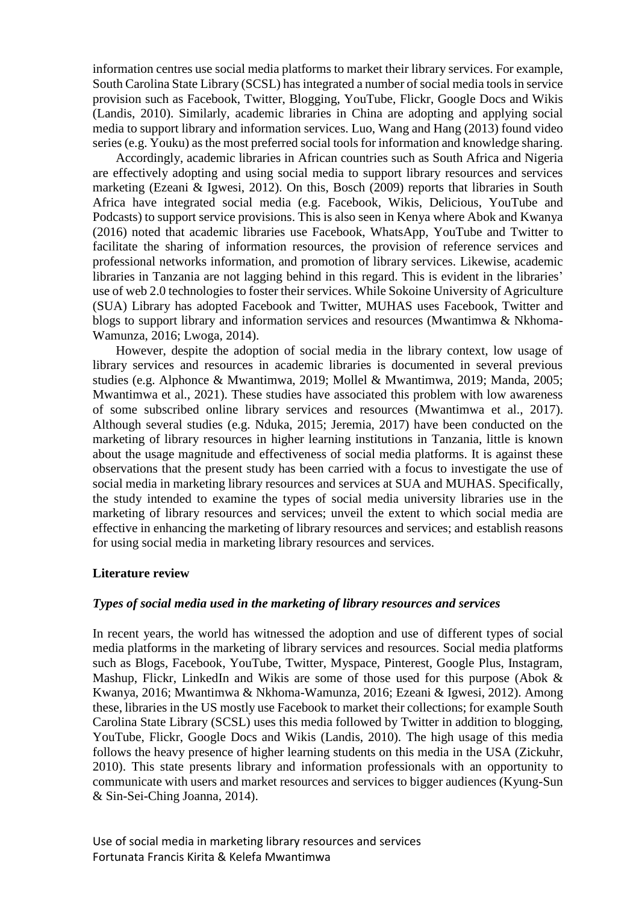information centres use social media platforms to market their library services. For example, South Carolina State Library (SCSL) has integrated a number of social media tools in service provision such as Facebook, Twitter, Blogging, YouTube, Flickr, Google Docs and Wikis (Landis, 2010). Similarly, academic libraries in China are adopting and applying social media to support library and information services. Luo, Wang and Hang (2013) found video series (e.g. Youku) as the most preferred social tools for information and knowledge sharing.

Accordingly, academic libraries in African countries such as South Africa and Nigeria are effectively adopting and using social media to support library resources and services marketing (Ezeani & Igwesi, 2012). On this, Bosch (2009) reports that libraries in South Africa have integrated social media (e.g. Facebook, Wikis, Delicious, YouTube and Podcasts) to support service provisions. This is also seen in Kenya where Abok and Kwanya (2016) noted that academic libraries use Facebook, WhatsApp, YouTube and Twitter to facilitate the sharing of information resources, the provision of reference services and professional networks information, and promotion of library services. Likewise, academic libraries in Tanzania are not lagging behind in this regard. This is evident in the libraries' use of web 2.0 technologies to foster their services. While Sokoine University of Agriculture (SUA) Library has adopted Facebook and Twitter, MUHAS uses Facebook, Twitter and blogs to support library and information services and resources (Mwantimwa & Nkhoma-Wamunza, 2016; Lwoga, 2014).

However, despite the adoption of social media in the library context, low usage of library services and resources in academic libraries is documented in several previous studies (e.g. Alphonce & Mwantimwa, 2019; Mollel & Mwantimwa, 2019; Manda, 2005; Mwantimwa et al., 2021). These studies have associated this problem with low awareness of some subscribed online library services and resources (Mwantimwa et al., 2017). Although several studies (e.g. Nduka, 2015; Jeremia, 2017) have been conducted on the marketing of library resources in higher learning institutions in Tanzania, little is known about the usage magnitude and effectiveness of social media platforms. It is against these observations that the present study has been carried with a focus to investigate the use of social media in marketing library resources and services at SUA and MUHAS. Specifically, the study intended to examine the types of social media university libraries use in the marketing of library resources and services; unveil the extent to which social media are effective in enhancing the marketing of library resources and services; and establish reasons for using social media in marketing library resources and services.

#### **Literature review**

#### *Types of social media used in the marketing of library resources and services*

In recent years, the world has witnessed the adoption and use of different types of social media platforms in the marketing of library services and resources. Social media platforms such as Blogs, Facebook, YouTube, Twitter, Myspace, Pinterest, Google Plus, Instagram, Mashup, Flickr, LinkedIn and Wikis are some of those used for this purpose (Abok & Kwanya, 2016; Mwantimwa & Nkhoma-Wamunza, 2016; Ezeani & Igwesi, 2012). Among these, libraries in the US mostly use Facebook to market their collections; for example South Carolina State Library (SCSL) uses this media followed by Twitter in addition to blogging, YouTube, Flickr, Google Docs and Wikis (Landis, 2010). The high usage of this media follows the heavy presence of higher learning students on this media in the USA (Zickuhr, 2010). This state presents library and information professionals with an opportunity to communicate with users and market resources and services to bigger audiences (Kyung-Sun & Sin-Sei-Ching Joanna, 2014).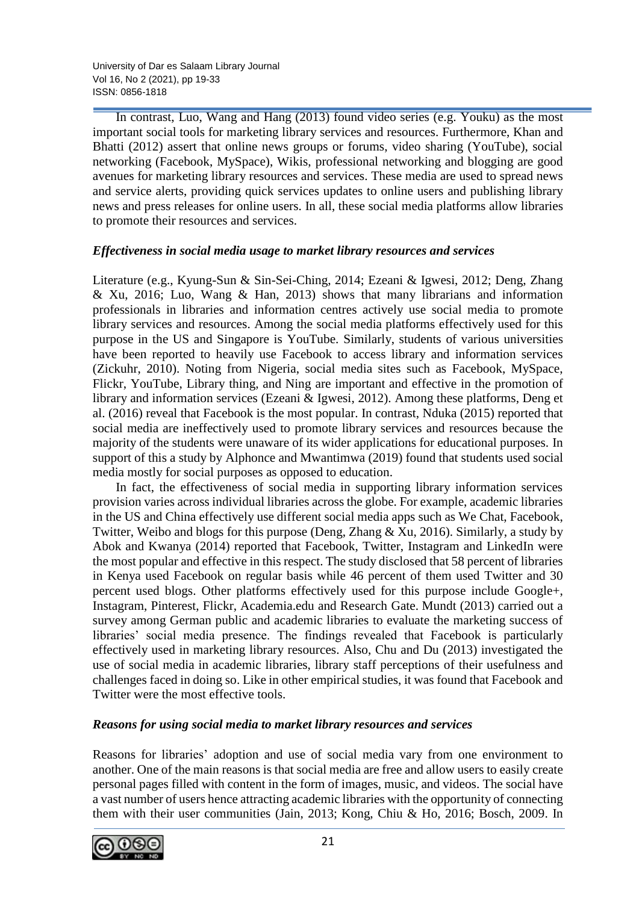University of Dar es Salaam Library Journal Vol 16, No 2 (2021), pp 19-33 ISSN: 0856-1818

In contrast, Luo, Wang and Hang (2013) found video series (e.g. Youku) as the most important social tools for marketing library services and resources. Furthermore, Khan and Bhatti (2012) assert that online news groups or forums, video sharing (YouTube), social networking (Facebook, MySpace), Wikis, professional networking and blogging are good avenues for marketing library resources and services. These media are used to spread news and service alerts, providing quick services updates to online users and publishing library news and press releases for online users. In all, these social media platforms allow libraries to promote their resources and services.

### *Effectiveness in social media usage to market library resources and services*

Literature (e.g., Kyung-Sun & Sin-Sei-Ching, 2014; Ezeani & Igwesi, 2012; Deng, Zhang & Xu, 2016; Luo, Wang & Han, 2013) shows that many librarians and information professionals in libraries and information centres actively use social media to promote library services and resources. Among the social media platforms effectively used for this purpose in the US and Singapore is YouTube. Similarly, students of various universities have been reported to heavily use Facebook to access library and information services (Zickuhr, 2010). Noting from Nigeria, social media sites such as Facebook, MySpace, Flickr, YouTube, Library thing, and Ning are important and effective in the promotion of library and information services (Ezeani & Igwesi, 2012). Among these platforms, Deng et al. (2016) reveal that Facebook is the most popular. In contrast, Nduka (2015) reported that social media are ineffectively used to promote library services and resources because the majority of the students were unaware of its wider applications for educational purposes. In support of this a study by Alphonce and Mwantimwa (2019) found that students used social media mostly for social purposes as opposed to education.

In fact, the effectiveness of social media in supporting library information services provision varies across individual libraries across the globe. For example, academic libraries in the US and China effectively use different social media apps such as We Chat, Facebook, Twitter, Weibo and blogs for this purpose (Deng, Zhang & Xu, 2016). Similarly, a study by Abok and Kwanya (2014) reported that Facebook, Twitter, Instagram and LinkedIn were the most popular and effective in this respect. The study disclosed that 58 percent of libraries in Kenya used Facebook on regular basis while 46 percent of them used Twitter and 30 percent used blogs. Other platforms effectively used for this purpose include Google+, Instagram, Pinterest, Flickr, Academia.edu and Research Gate. Mundt (2013) carried out a survey among German public and academic libraries to evaluate the marketing success of libraries' social media presence. The findings revealed that Facebook is particularly effectively used in marketing library resources. Also, Chu and Du (2013) investigated the use of social media in academic libraries, library staff perceptions of their usefulness and challenges faced in doing so. Like in other empirical studies, it was found that Facebook and Twitter were the most effective tools.

### *Reasons for using social media to market library resources and services*

Reasons for libraries' adoption and use of social media vary from one environment to another. One of the main reasons is that social media are free and allow users to easily create personal pages filled with content in the form of images, music, and videos. The social have a vast number of users hence attracting academic libraries with the opportunity of connecting them with their user communities (Jain, 2013; Kong, Chiu & Ho, 2016; Bosch, 2009. In

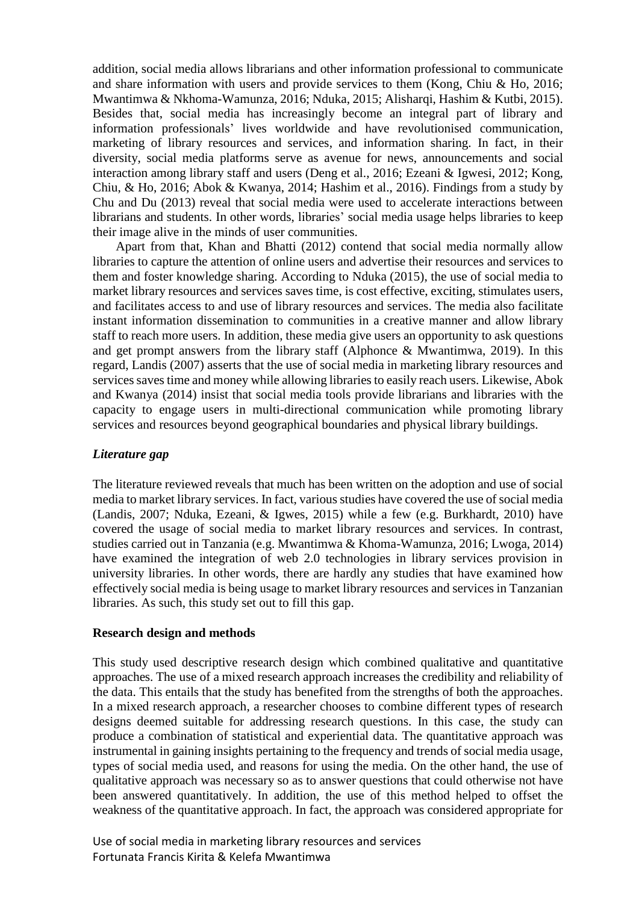addition, social media allows librarians and other information professional to communicate and share information with users and provide services to them (Kong, Chiu & Ho, 2016; Mwantimwa & Nkhoma-Wamunza, 2016; Nduka, 2015; Alisharqi, Hashim & Kutbi, 2015). Besides that, social media has increasingly become an integral part of library and information professionals' lives worldwide and have revolutionised communication, marketing of library resources and services, and information sharing. In fact, in their diversity, social media platforms serve as avenue for news, announcements and social interaction among library staff and users (Deng et al., 2016; Ezeani & Igwesi, 2012; Kong, Chiu, & Ho, 2016; Abok & Kwanya, 2014; Hashim et al., 2016). Findings from a study by Chu and Du (2013) reveal that social media were used to accelerate interactions between librarians and students. In other words, libraries' social media usage helps libraries to keep their image alive in the minds of user communities.

Apart from that, Khan and Bhatti (2012) contend that social media normally allow libraries to capture the attention of online users and advertise their resources and services to them and foster knowledge sharing. According to Nduka (2015), the use of social media to market library resources and services saves time, is cost effective, exciting, stimulates users, and facilitates access to and use of library resources and services. The media also facilitate instant information dissemination to communities in a creative manner and allow library staff to reach more users. In addition, these media give users an opportunity to ask questions and get prompt answers from the library staff (Alphonce & Mwantimwa, 2019). In this regard, Landis (2007) asserts that the use of social media in marketing library resources and services saves time and money while allowing libraries to easily reach users. Likewise, Abok and Kwanya (2014) insist that social media tools provide librarians and libraries with the capacity to engage users in multi-directional communication while promoting library services and resources beyond geographical boundaries and physical library buildings.

### *Literature gap*

The literature reviewed reveals that much has been written on the adoption and use of social media to market library services. In fact, various studies have covered the use of social media (Landis, 2007; Nduka, Ezeani, & Igwes, 2015) while a few (e.g. Burkhardt, 2010) have covered the usage of social media to market library resources and services. In contrast, studies carried out in Tanzania (e.g. Mwantimwa & Khoma-Wamunza, 2016; Lwoga, 2014) have examined the integration of web 2.0 technologies in library services provision in university libraries. In other words, there are hardly any studies that have examined how effectively social media is being usage to market library resources and services in Tanzanian libraries. As such, this study set out to fill this gap.

### **Research design and methods**

This study used descriptive research design which combined qualitative and quantitative approaches. The use of a mixed research approach increases the credibility and reliability of the data. This entails that the study has benefited from the strengths of both the approaches. In a mixed research approach, a researcher chooses to combine different types of research designs deemed suitable for addressing research questions. In this case, the study can produce a combination of statistical and experiential data. The quantitative approach was instrumental in gaining insights pertaining to the frequency and trends of social media usage, types of social media used, and reasons for using the media. On the other hand, the use of qualitative approach was necessary so as to answer questions that could otherwise not have been answered quantitatively. In addition, the use of this method helped to offset the weakness of the quantitative approach. In fact, the approach was considered appropriate for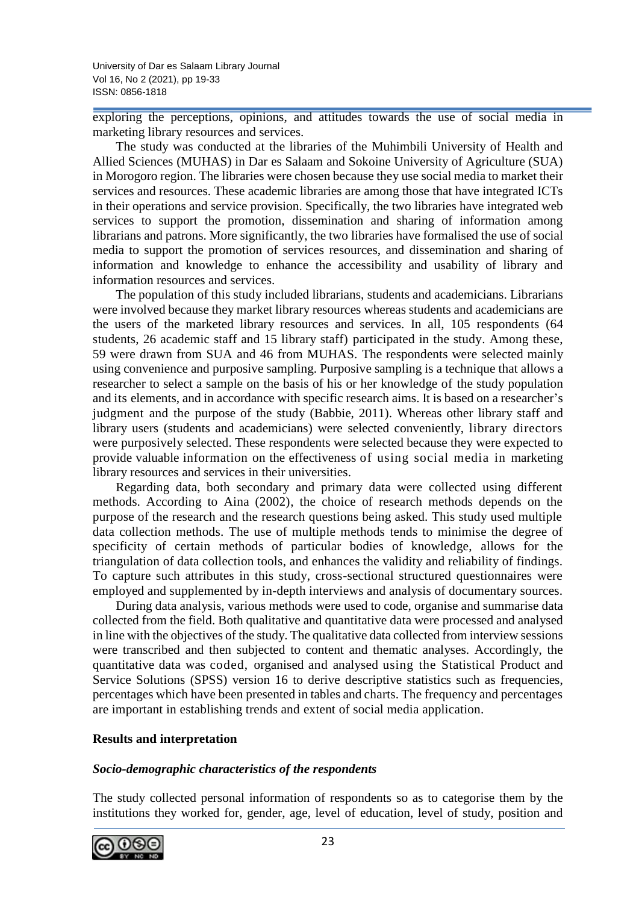exploring the perceptions, opinions, and attitudes towards the use of social media in marketing library resources and services.

The study was conducted at the libraries of the Muhimbili University of Health and Allied Sciences (MUHAS) in Dar es Salaam and Sokoine University of Agriculture (SUA) in Morogoro region. The libraries were chosen because they use social media to market their services and resources. These academic libraries are among those that have integrated ICTs in their operations and service provision. Specifically, the two libraries have integrated web services to support the promotion, dissemination and sharing of information among librarians and patrons. More significantly, the two libraries have formalised the use of social media to support the promotion of services resources, and dissemination and sharing of information and knowledge to enhance the accessibility and usability of library and information resources and services.

The population of this study included librarians, students and academicians. Librarians were involved because they market library resources whereas students and academicians are the users of the marketed library resources and services. In all, 105 respondents (64 students, 26 academic staff and 15 library staff) participated in the study. Among these, 59 were drawn from SUA and 46 from MUHAS. The respondents were selected mainly using convenience and purposive sampling. Purposive sampling is a technique that allows a researcher to select a sample on the basis of his or her knowledge of the study population and its elements, and in accordance with specific research aims. It is based on a researcher's judgment and the purpose of the study (Babbie, 2011). Whereas other library staff and library users (students and academicians) were selected conveniently, library directors were purposively selected. These respondents were selected because they were expected to provide valuable information on the effectiveness of using social media in marketing library resources and services in their universities.

Regarding data, both secondary and primary data were collected using different methods. According to Aina (2002), the choice of research methods depends on the purpose of the research and the research questions being asked. This study used multiple data collection methods. The use of multiple methods tends to minimise the degree of specificity of certain methods of particular bodies of knowledge, allows for the triangulation of data collection tools, and enhances the validity and reliability of findings. To capture such attributes in this study, cross-sectional structured questionnaires were employed and supplemented by in-depth interviews and analysis of documentary sources.

During data analysis, various methods were used to code, organise and summarise data collected from the field. Both qualitative and quantitative data were processed and analysed in line with the objectives of the study. The qualitative data collected from interview sessions were transcribed and then subjected to content and thematic analyses. Accordingly, the quantitative data was coded, organised and analysed using the Statistical Product and Service Solutions (SPSS) version 16 to derive descriptive statistics such as frequencies, percentages which have been presented in tables and charts. The frequency and percentages are important in establishing trends and extent of social media application.

### **Results and interpretation**

### *Socio-demographic characteristics of the respondents*

The study collected personal information of respondents so as to categorise them by the institutions they worked for, gender, age, level of education, level of study, position and

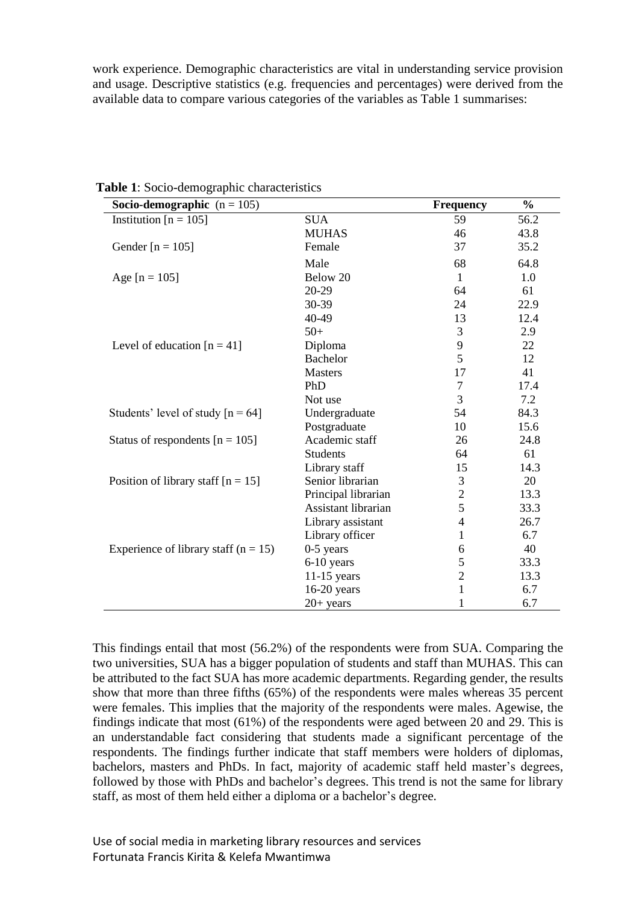work experience. Demographic characteristics are vital in understanding service provision and usage. Descriptive statistics (e.g. frequencies and percentages) were derived from the available data to compare various categories of the variables as Table 1 summarises:

| Socio-demographic $(n = 105)$            |                     | <b>Frequency</b>         | $\frac{0}{0}$ |
|------------------------------------------|---------------------|--------------------------|---------------|
| Institution $[n = 105]$                  | <b>SUA</b>          | 59                       | 56.2          |
|                                          | <b>MUHAS</b>        | 46                       | 43.8          |
| Gender [ $n = 105$ ]                     | Female              | 37                       | 35.2          |
|                                          | Male                | 68                       | 64.8          |
| Age $[n = 105]$                          | Below 20            | $\mathbf{1}$             | 1.0           |
|                                          | 20-29               | 64                       | 61            |
|                                          | 30-39               | 24                       | 22.9          |
|                                          | 40-49               | 13                       | 12.4          |
|                                          | $50+$               | 3                        | 2.9           |
| Level of education $[n = 41]$            | Diploma             | 9                        | 22            |
|                                          | <b>Bachelor</b>     | 5                        | 12            |
|                                          | <b>Masters</b>      | 17                       | 41            |
|                                          | PhD                 | $\overline{7}$           | 17.4          |
|                                          | Not use             | 3                        | 7.2           |
| Students' level of study $[n = 64]$      | Undergraduate       | 54                       | 84.3          |
|                                          | Postgraduate        | 10                       | 15.6          |
| Status of respondents $[n = 105]$        | Academic staff      | 26                       | 24.8          |
|                                          | Students            | 64                       | 61            |
|                                          | Library staff       | 15                       | 14.3          |
| Position of library staff $[n = 15]$     | Senior librarian    | $\mathfrak{Z}$           | 20            |
|                                          | Principal librarian | $\overline{c}$           | 13.3          |
|                                          | Assistant librarian | 5                        | 33.3          |
|                                          | Library assistant   | $\overline{\mathcal{L}}$ | 26.7          |
|                                          | Library officer     | 1                        | 6.7           |
| Experience of library staff ( $n = 15$ ) | $0-5$ years         | 6                        | 40            |
|                                          | 6-10 years          | 5                        | 33.3          |
|                                          | $11-15$ years       | $\overline{c}$           | 13.3          |
|                                          | $16-20$ years       | $\mathbf{1}$             | 6.7           |
|                                          | $20+$ years         | $\mathbf{1}$             | 6.7           |

**Table 1**: Socio-demographic characteristics

This findings entail that most (56.2%) of the respondents were from SUA. Comparing the two universities, SUA has a bigger population of students and staff than MUHAS. This can be attributed to the fact SUA has more academic departments. Regarding gender, the results show that more than three fifths (65%) of the respondents were males whereas 35 percent were females. This implies that the majority of the respondents were males. Agewise, the findings indicate that most (61%) of the respondents were aged between 20 and 29. This is an understandable fact considering that students made a significant percentage of the respondents. The findings further indicate that staff members were holders of diplomas, bachelors, masters and PhDs. In fact, majority of academic staff held master's degrees, followed by those with PhDs and bachelor's degrees. This trend is not the same for library staff, as most of them held either a diploma or a bachelor's degree.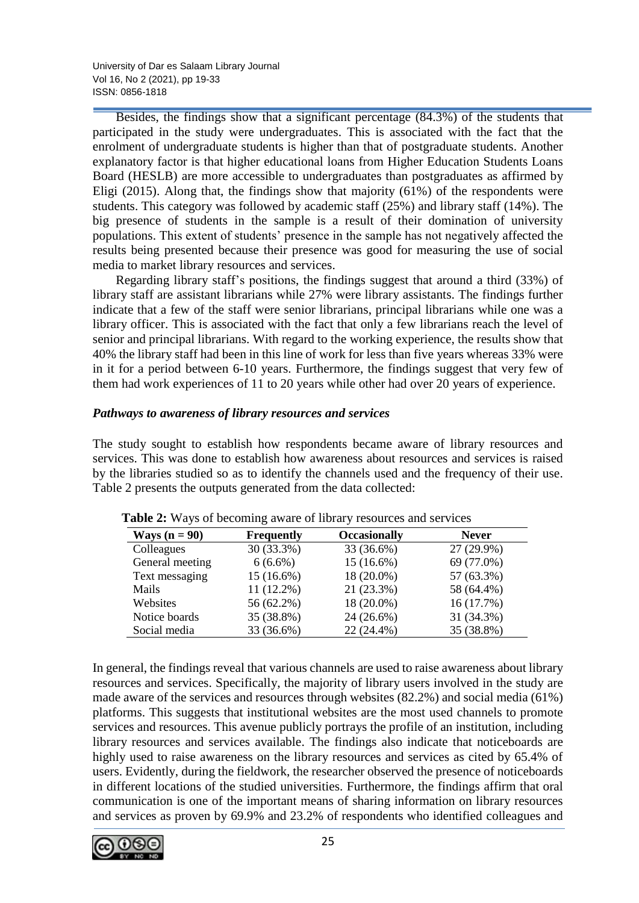University of Dar es Salaam Library Journal Vol 16, No 2 (2021), pp 19-33 ISSN: 0856-1818

Besides, the findings show that a significant percentage (84.3%) of the students that participated in the study were undergraduates. This is associated with the fact that the enrolment of undergraduate students is higher than that of postgraduate students. Another explanatory factor is that higher educational loans from Higher Education Students Loans Board (HESLB) are more accessible to undergraduates than postgraduates as affirmed by Eligi (2015). Along that, the findings show that majority (61%) of the respondents were students. This category was followed by academic staff (25%) and library staff (14%). The big presence of students in the sample is a result of their domination of university populations. This extent of students' presence in the sample has not negatively affected the results being presented because their presence was good for measuring the use of social media to market library resources and services.

Regarding library staff's positions, the findings suggest that around a third (33%) of library staff are assistant librarians while 27% were library assistants. The findings further indicate that a few of the staff were senior librarians, principal librarians while one was a library officer. This is associated with the fact that only a few librarians reach the level of senior and principal librarians. With regard to the working experience, the results show that 40% the library staff had been in this line of work for less than five years whereas 33% were in it for a period between 6-10 years. Furthermore, the findings suggest that very few of them had work experiences of 11 to 20 years while other had over 20 years of experience.

### *Pathways to awareness of library resources and services*

The study sought to establish how respondents became aware of library resources and services. This was done to establish how awareness about resources and services is raised by the libraries studied so as to identify the channels used and the frequency of their use. Table 2 presents the outputs generated from the data collected:

| Ways $(n = 90)$ | <b>Frequently</b> | <b>Occasionally</b> | <b>Never</b> |
|-----------------|-------------------|---------------------|--------------|
| Colleagues      | 30 (33.3%)        | 33 (36.6%)          | 27 (29.9%)   |
| General meeting | $6(6.6\%)$        | $15(16.6\%)$        | 69 (77.0%)   |
| Text messaging  | 15 (16.6%)        | $18(20.0\%)$        | 57 (63.3%)   |
| Mails           | $11(12.2\%)$      | 21 (23.3%)          | 58 (64.4%)   |
| Websites        | 56 (62.2%)        | $18(20.0\%)$        | 16 (17.7%)   |
| Notice boards   | 35 (38.8%)        | 24 (26.6%)          | 31 (34.3%)   |
| Social media    | 33 (36.6%)        | 22 (24.4%)          | 35 (38.8%)   |

 **Table 2:** Ways of becoming aware of library resources and services

In general, the findings reveal that various channels are used to raise awareness about library resources and services. Specifically, the majority of library users involved in the study are made aware of the services and resources through websites (82.2%) and social media (61%) platforms. This suggests that institutional websites are the most used channels to promote services and resources. This avenue publicly portrays the profile of an institution, including library resources and services available. The findings also indicate that noticeboards are highly used to raise awareness on the library resources and services as cited by 65.4% of users. Evidently, during the fieldwork, the researcher observed the presence of noticeboards in different locations of the studied universities. Furthermore, the findings affirm that oral communication is one of the important means of sharing information on library resources and services as proven by 69.9% and 23.2% of respondents who identified colleagues and

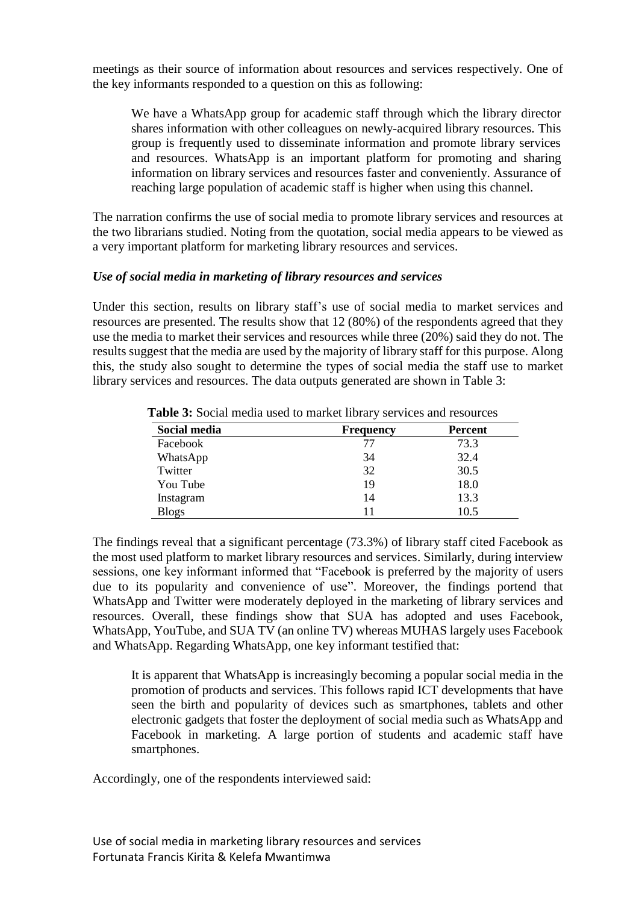meetings as their source of information about resources and services respectively. One of the key informants responded to a question on this as following:

We have a WhatsApp group for academic staff through which the library director shares information with other colleagues on newly-acquired library resources. This group is frequently used to disseminate information and promote library services and resources. WhatsApp is an important platform for promoting and sharing information on library services and resources faster and conveniently. Assurance of reaching large population of academic staff is higher when using this channel.

The narration confirms the use of social media to promote library services and resources at the two librarians studied. Noting from the quotation, social media appears to be viewed as a very important platform for marketing library resources and services.

### *Use of social media in marketing of library resources and services*

Under this section, results on library staff's use of social media to market services and resources are presented. The results show that 12 (80%) of the respondents agreed that they use the media to market their services and resources while three (20%) said they do not. The results suggest that the media are used by the majority of library staff for this purpose. Along this, the study also sought to determine the types of social media the staff use to market library services and resources. The data outputs generated are shown in Table 3:

| Social media | <b>Frequency</b> | <b>Percent</b> |
|--------------|------------------|----------------|
| Facebook     | 77               | 73.3           |
| WhatsApp     | 34               | 32.4           |
| Twitter      | 32               | 30.5           |
| You Tube     | 19               | 18.0           |
| Instagram    | 14               | 13.3           |
| <b>Blogs</b> | 11               | 10.5           |

 **Table 3:** Social media used to market library services and resources

The findings reveal that a significant percentage (73.3%) of library staff cited Facebook as the most used platform to market library resources and services. Similarly, during interview sessions, one key informant informed that "Facebook is preferred by the majority of users due to its popularity and convenience of use". Moreover, the findings portend that WhatsApp and Twitter were moderately deployed in the marketing of library services and resources. Overall, these findings show that SUA has adopted and uses Facebook, WhatsApp, YouTube, and SUA TV (an online TV) whereas MUHAS largely uses Facebook and WhatsApp. Regarding WhatsApp, one key informant testified that:

It is apparent that WhatsApp is increasingly becoming a popular social media in the promotion of products and services. This follows rapid ICT developments that have seen the birth and popularity of devices such as smartphones, tablets and other electronic gadgets that foster the deployment of social media such as WhatsApp and Facebook in marketing. A large portion of students and academic staff have smartphones.

Accordingly, one of the respondents interviewed said: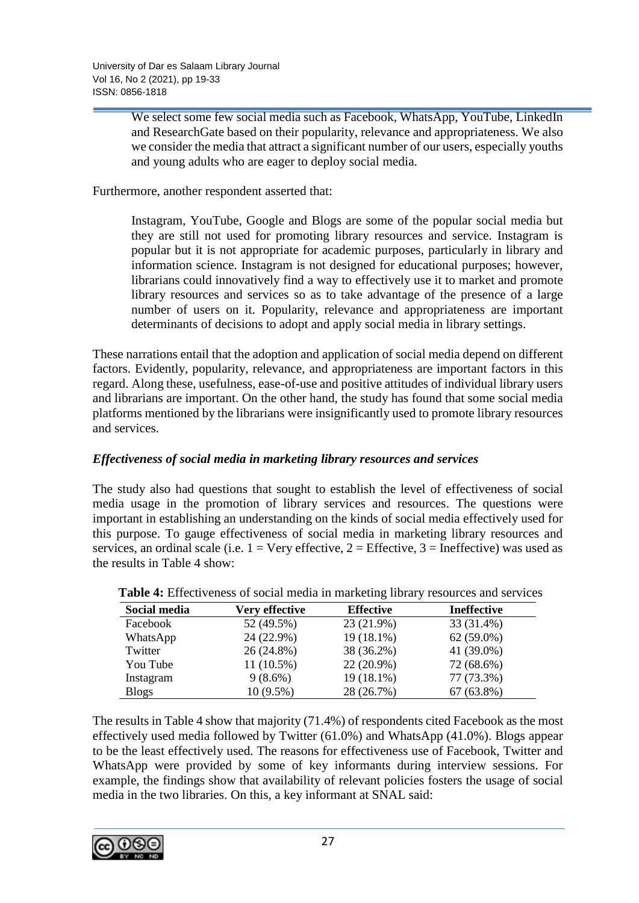We select some few social media such as Facebook, WhatsApp, YouTube, LinkedIn and ResearchGate based on their popularity, relevance and appropriateness. We also we consider the media that attract a significant number of our users, especially youths and young adults who are eager to deploy social media.

Furthermore, another respondent asserted that:

Instagram, YouTube, Google and Blogs are some of the popular social media but they are still not used for promoting library resources and service. Instagram is popular but it is not appropriate for academic purposes, particularly in library and information science. Instagram is not designed for educational purposes; however, librarians could innovatively find a way to effectively use it to market and promote library resources and services so as to take advantage of the presence of a large number of users on it. Popularity, relevance and appropriateness are important determinants of decisions to adopt and apply social media in library settings.

These narrations entail that the adoption and application of social media depend on different factors. Evidently, popularity, relevance, and appropriateness are important factors in this regard. Along these, usefulness, ease-of-use and positive attitudes of individual library users and librarians are important. On the other hand, the study has found that some social media platforms mentioned by the librarians were insignificantly used to promote library resources and services.

# *Effectiveness of social media in marketing library resources and services*

The study also had questions that sought to establish the level of effectiveness of social media usage in the promotion of library services and resources. The questions were important in establishing an understanding on the kinds of social media effectively used for this purpose. To gauge effectiveness of social media in marketing library resources and services, an ordinal scale (i.e.  $1 = \text{Very effective}, 2 = \text{Effective}, 3 = \text{Ineffective}$ ) was used as the results in Table 4 show:

| Social media | <b>Very effective</b> | <b>Effective</b> | <b>Ineffective</b> |
|--------------|-----------------------|------------------|--------------------|
| Facebook     | 52 (49.5%)            | 23 (21.9%)       | 33 (31.4%)         |
| WhatsApp     | 24 (22.9%)            | $19(18.1\%)$     | $62(59.0\%)$       |
| Twitter      | 26 (24.8%)            | 38 (36.2%)       | 41 (39.0%)         |
| You Tube     | $11(10.5\%)$          | $22(20.9\%)$     | 72 (68.6%)         |
| Instagram    | $9(8.6\%)$            | $19(18.1\%)$     | 77 (73.3%)         |
| <b>Blogs</b> | $10(9.5\%)$           | 28 (26.7%)       | $67(63.8\%)$       |

| <b>Table 4:</b> Effectiveness of social media in marketing library resources and services |  |  |  |
|-------------------------------------------------------------------------------------------|--|--|--|
|                                                                                           |  |  |  |

The results in Table 4 show that majority (71.4%) of respondents cited Facebook as the most effectively used media followed by Twitter (61.0%) and WhatsApp (41.0%). Blogs appear to be the least effectively used. The reasons for effectiveness use of Facebook, Twitter and WhatsApp were provided by some of key informants during interview sessions. For example, the findings show that availability of relevant policies fosters the usage of social media in the two libraries. On this, a key informant at SNAL said:

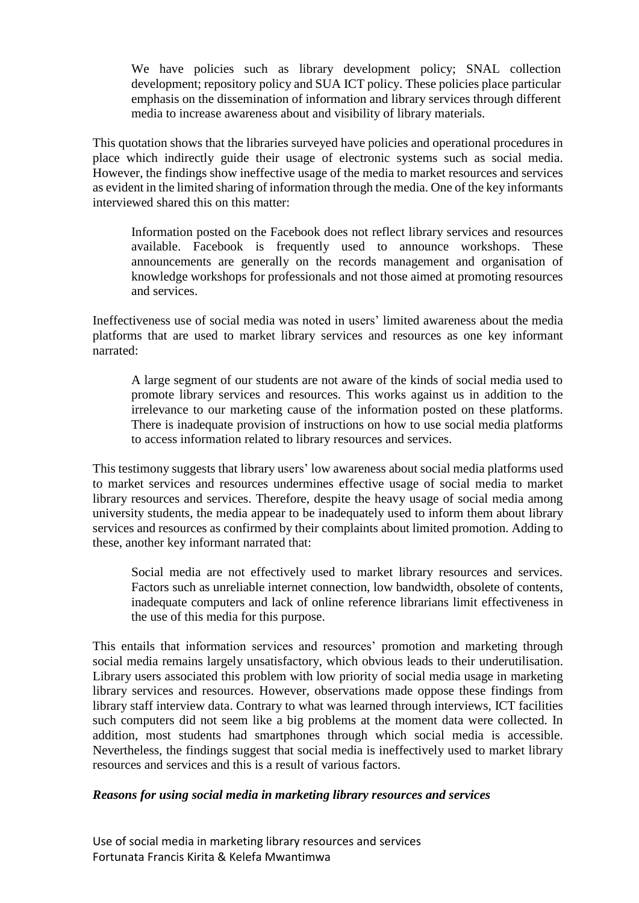We have policies such as library development policy; SNAL collection development; repository policy and SUA ICT policy. These policies place particular emphasis on the dissemination of information and library services through different media to increase awareness about and visibility of library materials.

This quotation shows that the libraries surveyed have policies and operational procedures in place which indirectly guide their usage of electronic systems such as social media. However, the findings show ineffective usage of the media to market resources and services as evident in the limited sharing of information through the media. One of the key informants interviewed shared this on this matter:

Information posted on the Facebook does not reflect library services and resources available. Facebook is frequently used to announce workshops. These announcements are generally on the records management and organisation of knowledge workshops for professionals and not those aimed at promoting resources and services.

Ineffectiveness use of social media was noted in users' limited awareness about the media platforms that are used to market library services and resources as one key informant narrated:

A large segment of our students are not aware of the kinds of social media used to promote library services and resources. This works against us in addition to the irrelevance to our marketing cause of the information posted on these platforms. There is inadequate provision of instructions on how to use social media platforms to access information related to library resources and services.

This testimony suggests that library users' low awareness about social media platforms used to market services and resources undermines effective usage of social media to market library resources and services. Therefore, despite the heavy usage of social media among university students, the media appear to be inadequately used to inform them about library services and resources as confirmed by their complaints about limited promotion. Adding to these, another key informant narrated that:

Social media are not effectively used to market library resources and services. Factors such as unreliable internet connection, low bandwidth, obsolete of contents, inadequate computers and lack of online reference librarians limit effectiveness in the use of this media for this purpose.

This entails that information services and resources' promotion and marketing through social media remains largely unsatisfactory, which obvious leads to their underutilisation. Library users associated this problem with low priority of social media usage in marketing library services and resources. However, observations made oppose these findings from library staff interview data. Contrary to what was learned through interviews, ICT facilities such computers did not seem like a big problems at the moment data were collected. In addition, most students had smartphones through which social media is accessible. Nevertheless, the findings suggest that social media is ineffectively used to market library resources and services and this is a result of various factors.

### *Reasons for using social media in marketing library resources and services*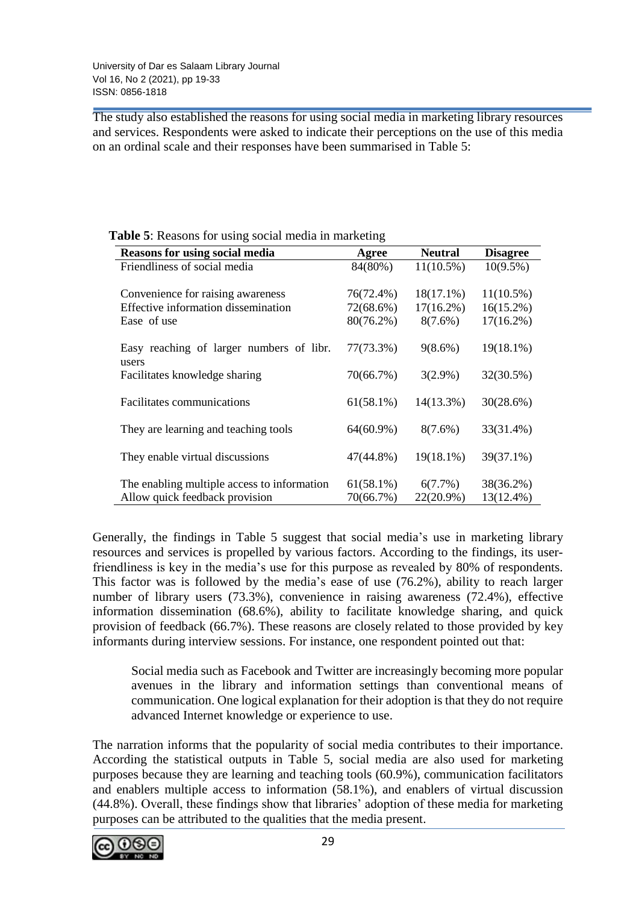The study also established the reasons for using social media in marketing library resources and services. Respondents were asked to indicate their perceptions on the use of this media on an ordinal scale and their responses have been summarised in Table 5:

| <b>Reasons for using social media</b>       | Agree        | <b>Neutral</b> | <b>Disagree</b> |
|---------------------------------------------|--------------|----------------|-----------------|
| Friendliness of social media                | 84(80%)      | $11(10.5\%)$   | $10(9.5\%)$     |
|                                             |              |                |                 |
| Convenience for raising awareness           | 76(72.4%)    | $18(17.1\%)$   | $11(10.5\%)$    |
| Effective information dissemination         | 72(68.6%)    | $17(16.2\%)$   | $16(15.2\%)$    |
| Ease of use                                 | $80(76.2\%)$ | $8(7.6\%)$     | $17(16.2\%)$    |
|                                             |              |                |                 |
| Easy reaching of larger numbers of libr.    | 77(73.3%)    | $9(8.6\%)$     | $19(18.1\%)$    |
| users                                       |              |                |                 |
| Facilitates knowledge sharing               | 70(66.7%)    | $3(2.9\%)$     | 32(30.5%)       |
|                                             |              |                |                 |
| Facilitates communications                  | $61(58.1\%)$ | $14(13.3\%)$   | 30(28.6%)       |
|                                             |              |                |                 |
| They are learning and teaching tools        | $64(60.9\%)$ | $8(7.6\%)$     | 33(31.4%)       |
|                                             |              |                |                 |
| They enable virtual discussions             | $47(44.8\%)$ | $19(18.1\%)$   | 39(37.1%)       |
|                                             |              |                |                 |
|                                             |              |                |                 |
| The enabling multiple access to information | $61(58.1\%)$ | $6(7.7\%)$     | 38(36.2%)       |
| Allow quick feedback provision              | 70(66.7%)    | $22(20.9\%)$   | $13(12.4\%)$    |

 **Table 5**: Reasons for using social media in marketing

Generally, the findings in Table 5 suggest that social media's use in marketing library resources and services is propelled by various factors. According to the findings, its userfriendliness is key in the media's use for this purpose as revealed by 80% of respondents. This factor was is followed by the media's ease of use (76.2%), ability to reach larger number of library users (73.3%), convenience in raising awareness (72.4%), effective information dissemination (68.6%), ability to facilitate knowledge sharing, and quick provision of feedback (66.7%). These reasons are closely related to those provided by key informants during interview sessions. For instance, one respondent pointed out that:

Social media such as Facebook and Twitter are increasingly becoming more popular avenues in the library and information settings than conventional means of communication. One logical explanation for their adoption is that they do not require advanced Internet knowledge or experience to use.

The narration informs that the popularity of social media contributes to their importance. According the statistical outputs in Table 5, social media are also used for marketing purposes because they are learning and teaching tools (60.9%), communication facilitators and enablers multiple access to information (58.1%), and enablers of virtual discussion (44.8%). Overall, these findings show that libraries' adoption of these media for marketing purposes can be attributed to the qualities that the media present.

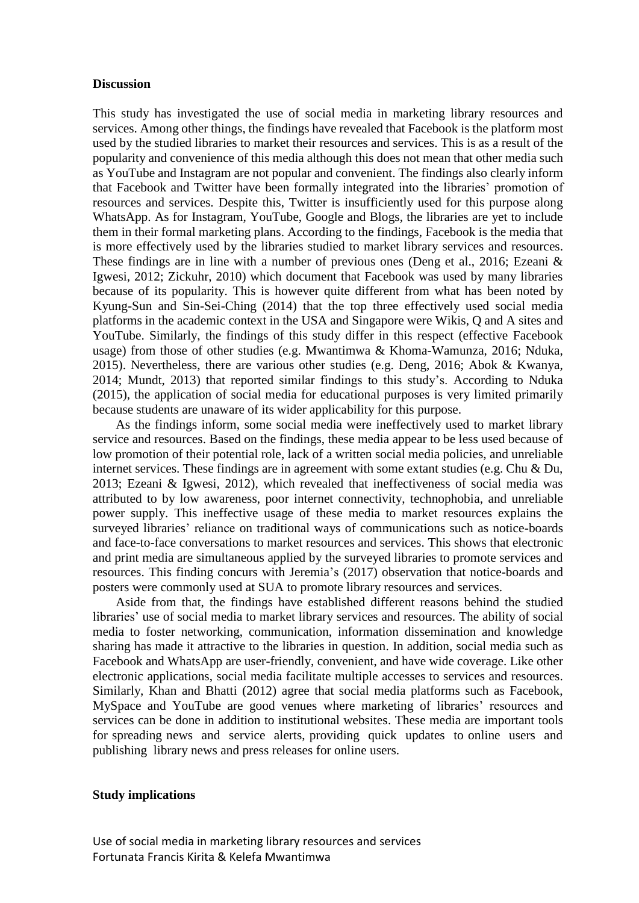#### **Discussion**

This study has investigated the use of social media in marketing library resources and services. Among other things, the findings have revealed that Facebook is the platform most used by the studied libraries to market their resources and services. This is as a result of the popularity and convenience of this media although this does not mean that other media such as YouTube and Instagram are not popular and convenient. The findings also clearly inform that Facebook and Twitter have been formally integrated into the libraries' promotion of resources and services. Despite this, Twitter is insufficiently used for this purpose along WhatsApp. As for Instagram, YouTube, Google and Blogs, the libraries are yet to include them in their formal marketing plans. According to the findings, Facebook is the media that is more effectively used by the libraries studied to market library services and resources. These findings are in line with a number of previous ones (Deng et al., 2016; Ezeani & Igwesi, 2012; Zickuhr, 2010) which document that Facebook was used by many libraries because of its popularity. This is however quite different from what has been noted by Kyung-Sun and Sin-Sei-Ching (2014) that the top three effectively used social media platforms in the academic context in the USA and Singapore were Wikis, Q and A sites and YouTube. Similarly, the findings of this study differ in this respect (effective Facebook usage) from those of other studies (e.g. Mwantimwa & Khoma-Wamunza, 2016; Nduka, 2015). Nevertheless, there are various other studies (e.g. Deng, 2016; Abok & Kwanya, 2014; Mundt, 2013) that reported similar findings to this study's. According to Nduka (2015), the application of social media for educational purposes is very limited primarily because students are unaware of its wider applicability for this purpose.

As the findings inform, some social media were ineffectively used to market library service and resources. Based on the findings, these media appear to be less used because of low promotion of their potential role, lack of a written social media policies, and unreliable internet services. These findings are in agreement with some extant studies (e.g. Chu & Du, 2013; Ezeani & Igwesi, 2012), which revealed that ineffectiveness of social media was attributed to by low awareness, poor internet connectivity, technophobia, and unreliable power supply. This ineffective usage of these media to market resources explains the surveyed libraries' reliance on traditional ways of communications such as notice-boards and face-to-face conversations to market resources and services. This shows that electronic and print media are simultaneous applied by the surveyed libraries to promote services and resources. This finding concurs with Jeremia's (2017) observation that notice-boards and posters were commonly used at SUA to promote library resources and services.

Aside from that, the findings have established different reasons behind the studied libraries' use of social media to market library services and resources. The ability of social media to foster networking, communication, information dissemination and knowledge sharing has made it attractive to the libraries in question. In addition, social media such as Facebook and WhatsApp are user-friendly, convenient, and have wide coverage. Like other electronic applications, social media facilitate multiple accesses to services and resources. Similarly, Khan and Bhatti (2012) agree that social media platforms such as Facebook, MySpace and YouTube are good venues where marketing of libraries' resources and services can be done in addition to institutional websites. These media are important tools for spreading news and service alerts, providing quick updates to online users and publishing library news and press releases for online users.

#### **Study implications**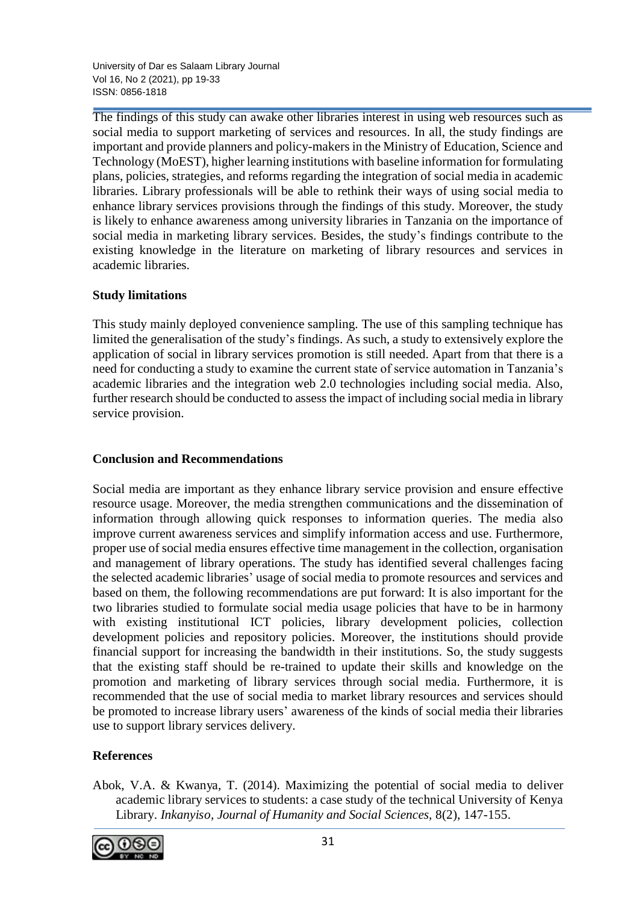University of Dar es Salaam Library Journal Vol 16, No 2 (2021), pp 19-33 ISSN: 0856-1818

The findings of this study can awake other libraries interest in using web resources such as social media to support marketing of services and resources. In all, the study findings are important and provide planners and policy-makers in the Ministry of Education, Science and Technology (MoEST), higher learning institutions with baseline information for formulating plans, policies, strategies, and reforms regarding the integration of social media in academic libraries. Library professionals will be able to rethink their ways of using social media to enhance library services provisions through the findings of this study. Moreover, the study is likely to enhance awareness among university libraries in Tanzania on the importance of social media in marketing library services. Besides, the study's findings contribute to the existing knowledge in the literature on marketing of library resources and services in academic libraries.

## **Study limitations**

This study mainly deployed convenience sampling. The use of this sampling technique has limited the generalisation of the study's findings. As such, a study to extensively explore the application of social in library services promotion is still needed. Apart from that there is a need for conducting a study to examine the current state of service automation in Tanzania's academic libraries and the integration web 2.0 technologies including social media. Also, further research should be conducted to assess the impact of including social media in library service provision.

### **Conclusion and Recommendations**

Social media are important as they enhance library service provision and ensure effective resource usage. Moreover, the media strengthen communications and the dissemination of information through allowing quick responses to information queries. The media also improve current awareness services and simplify information access and use. Furthermore, proper use of social media ensures effective time management in the collection, organisation and management of library operations. The study has identified several challenges facing the selected academic libraries' usage of social media to promote resources and services and based on them, the following recommendations are put forward: It is also important for the two libraries studied to formulate social media usage policies that have to be in harmony with existing institutional ICT policies, library development policies, collection development policies and repository policies. Moreover, the institutions should provide financial support for increasing the bandwidth in their institutions. So, the study suggests that the existing staff should be re-trained to update their skills and knowledge on the promotion and marketing of library services through social media. Furthermore, it is recommended that the use of social media to market library resources and services should be promoted to increase library users' awareness of the kinds of social media their libraries use to support library services delivery.

# **References**

Abok, V.A. & Kwanya, T. (2014). Maximizing the potential of social media to deliver academic library services to students: a case study of the technical University of Kenya Library. *Inkanyiso, Journal of Humanity and Social Sciences,* 8(2), 147-155.

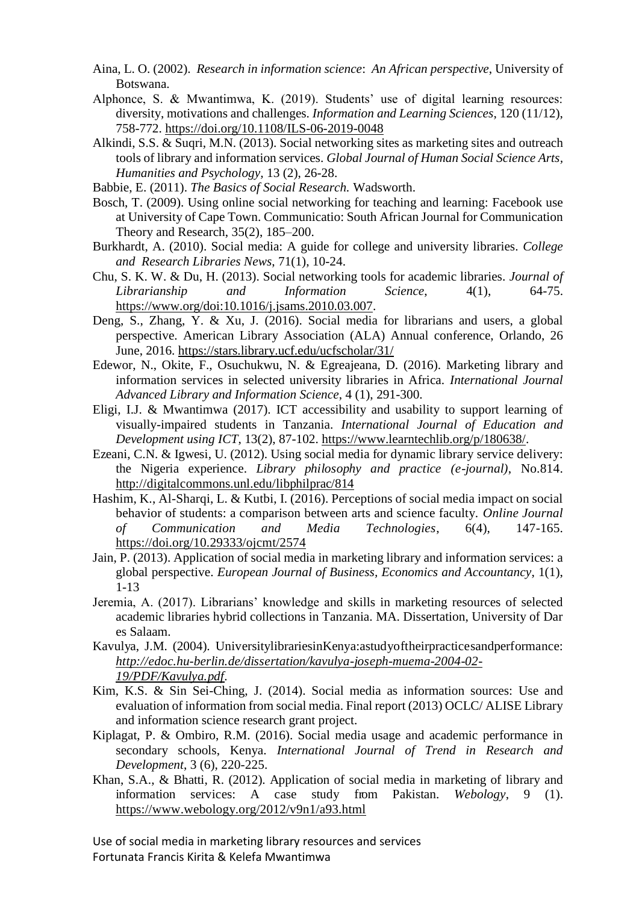- Aina, L. O. (2002). *Research in information science*: *An African perspective*, University of Botswana.
- Alphonce, S. & Mwantimwa, K. (2019). Students' use of digital learning resources: diversity, motivations and challenges. *Information and Learning Sciences*, 120 (11/12), 758-772.<https://doi.org/10.1108/ILS-06-2019-0048>
- Alkindi, S.S. & Suqri, M.N. (2013). Social networking sites as marketing sites and outreach tools of library and information services. *Global Journal of Human Social Science Arts, Humanities and Psychology,* 13 (2), 26-28.
- Babbie, E. (2011). *The Basics of Social Research.* Wadsworth.
- Bosch, T. (2009). Using online social networking for teaching and learning: Facebook use at University of Cape Town. Communicatio: South African Journal for Communication Theory and Research, 35(2), 185–200.
- Burkhardt, A. (2010). Social media: A guide for college and university libraries. *College and Research Libraries News*, 71(1), 10-24.
- Chu, S. K. W. & Du, H. (2013). Social networking tools for academic libraries. *Journal of Librarianship and Information Science*, 4(1), 64-75. [https://www.org/doi:10.1016/j.jsams.2010.03.007.](https://www.org/doi:10.1016/j.jsams.2010.03.007)
- Deng, S., Zhang, Y. & Xu, J. (2016). Social media for librarians and users, a global perspective. American Library Association (ALA) Annual conference, Orlando, 26 June, 2016.<https://stars.library.ucf.edu/ucfscholar/31/>
- Edewor, N., Okite, F., Osuchukwu, N. & Egreajeana, D. (2016). Marketing library and information services in selected university libraries in Africa. *International Journal Advanced Library and Information Science*, 4 (1), 291-300.
- Eligi, I.J. & Mwantimwa (2017). ICT accessibility and usability to support learning of visually-impaired students in Tanzania. *International Journal of Education and Development using ICT*, 13(2), 87-102. [https://www.learntechlib.org/p/180638/.](https://www.learntechlib.org/p/180638/)
- Ezeani, C.N. & Igwesi, U. (2012). Using social media for dynamic library service delivery: the Nigeria experience. *Library philosophy and practice (e-journal)*, No.814. <http://digitalcommons.unl.edu/libphilprac/814>
- Hashim, K., Al-Sharqi, L. & Kutbi, I. (2016). Perceptions of social media impact on social behavior of students: a comparison between arts and science faculty. *Online Journal of Communication and Media Technologies*, 6(4), 147-165. <https://doi.org/10.29333/ojcmt/2574>
- Jain, P. (2013). Application of social media in marketing library and information services: a global perspective. *European Journal of Business, Economics and Accountancy*, 1(1), 1-13
- Jeremia, A. (2017). Librarians' knowledge and skills in marketing resources of selected academic libraries hybrid collections in Tanzania. MA. Dissertation, University of Dar es Salaam.
- Kavulya, J.M. (2004). UniversitylibrariesinKenya:astudyoftheirpracticesandperformance: *[http://edoc.hu-berlin.de/dissertation/kavulya-joseph-muema-2004-02-](http://edoc.hu-berlin.de/dissertationen/kavulya-joseph-muema-2004-02-19/PDF/Kavulya.pdf) [19/PDF/Kavulya.pdf.](http://edoc.hu-berlin.de/dissertationen/kavulya-joseph-muema-2004-02-19/PDF/Kavulya.pdf)*
- Kim, K.S. & Sin Sei-Ching, J. (2014). Social media as information sources: Use and evaluation of information from social media. Final report (2013) OCLC/ ALISE Library and information science research grant project.
- Kiplagat, P. & Ombiro, R.M. (2016). Social media usage and academic performance in secondary schools, Kenya. *International Journal of Trend in Research and Development*, 3 (6), 220-225.
- Khan, S.A., & Bhatti, R. (2012). Application of social media in marketing of library and information services: A case study from Pakistan. *Webology*, 9 (1). <https://www.webology.org/2012/v9n1/a93.html>